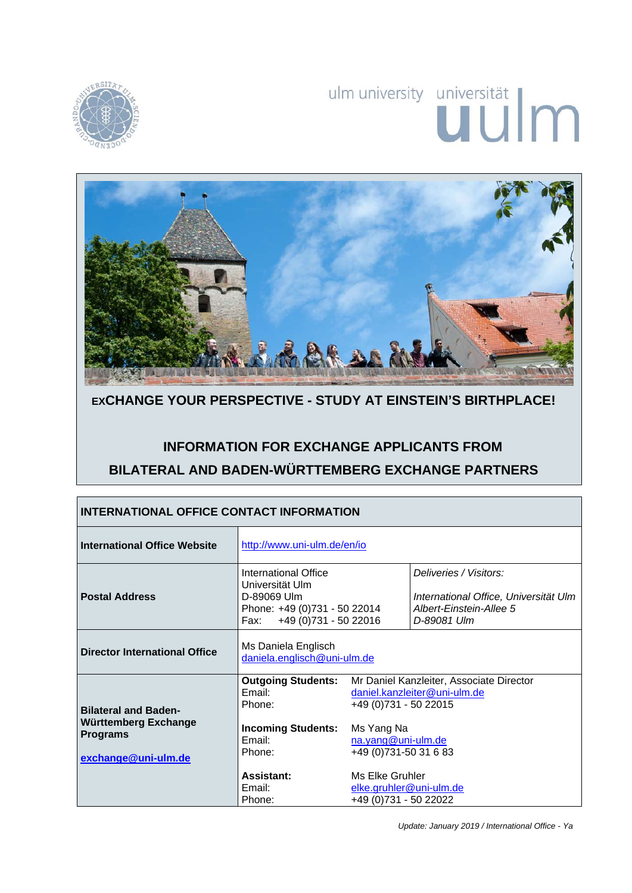

# ulm university universität



# **EXCHANGE YOUR PERSPECTIVE - STUDY AT EINSTEIN'S BIRTHPLACE!**

# **INFORMATION FOR EXCHANGE APPLICANTS FROM BILATERAL AND BADEN-WÜRTTEMBERG EXCHANGE PARTNERS**

| <b>INTERNATIONAL OFFICE CONTACT INFORMATION</b>                                               |                                                                                                                          |                                                                                                                                                                  |                                                                                                           |
|-----------------------------------------------------------------------------------------------|--------------------------------------------------------------------------------------------------------------------------|------------------------------------------------------------------------------------------------------------------------------------------------------------------|-----------------------------------------------------------------------------------------------------------|
| <b>International Office Website</b>                                                           | http://www.uni-ulm.de/en/io                                                                                              |                                                                                                                                                                  |                                                                                                           |
| <b>Postal Address</b>                                                                         | International Office<br>Universität Ulm<br>D-89069 Ulm<br>Phone: +49 (0)731 - 50 22014<br>+49 (0) 731 - 50 22016<br>Fax: |                                                                                                                                                                  | Deliveries / Visitors:<br>International Office, Universität Ulm<br>Albert-Einstein-Allee 5<br>D-89081 Ulm |
| <b>Director International Office</b>                                                          | Ms Daniela Englisch<br>daniela.englisch@uni-ulm.de                                                                       |                                                                                                                                                                  |                                                                                                           |
| <b>Bilateral and Baden-</b><br>Württemberg Exchange<br><b>Programs</b><br>exchange@uni-ulm.de | <b>Outgoing Students:</b><br>Email:<br>Phone:<br><b>Incoming Students:</b><br>Email:<br>Phone:                           | Mr Daniel Kanzleiter, Associate Director<br>daniel.kanzleiter@uni-ulm.de<br>+49 (0) 731 - 50 22015<br>Ms Yang Na<br>na.yang@uni-ulm.de<br>+49 (0) 731-50 31 6 83 |                                                                                                           |
|                                                                                               | <b>Assistant:</b><br>Email:<br>Phone:                                                                                    | Ms Elke Gruhler<br>elke.gruhler@uni-ulm.de<br>+49 (0)731 - 50 22022                                                                                              |                                                                                                           |

*Update: January 2019 / International Office - Ya*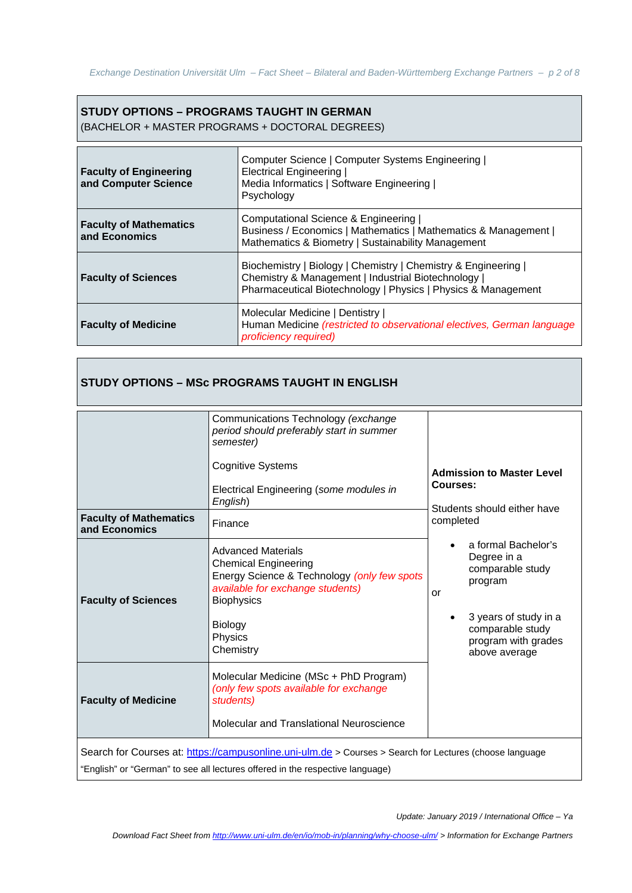# **STUDY OPTIONS – PROGRAMS TAUGHT IN GERMAN**

(BACHELOR + MASTER PROGRAMS + DOCTORAL DEGREES)

| <b>Faculty of Engineering</b><br>and Computer Science | Computer Science   Computer Systems Engineering  <br><b>Electrical Engineering</b><br>Media Informatics   Software Engineering  <br>Psychology                                         |
|-------------------------------------------------------|----------------------------------------------------------------------------------------------------------------------------------------------------------------------------------------|
| <b>Faculty of Mathematics</b><br>and Economics        | Computational Science & Engineering<br>Business / Economics   Mathematics   Mathematics & Management  <br>Mathematics & Biometry   Sustainability Management                           |
| <b>Faculty of Sciences</b>                            | Biochemistry   Biology   Chemistry   Chemistry & Engineering  <br>Chemistry & Management   Industrial Biotechnology  <br>Pharmaceutical Biotechnology   Physics   Physics & Management |
| <b>Faculty of Medicine</b>                            | Molecular Medicine   Dentistry  <br>Human Medicine (restricted to observational electives, German language<br>proficiency required)                                                    |

|                                                | Communications Technology (exchange<br>period should preferably start in summer<br>semester)<br><b>Cognitive Systems</b><br>Electrical Engineering (some modules in<br>English)                     | <b>Admission to Master Level</b><br>Courses:                                                                                                                 |
|------------------------------------------------|-----------------------------------------------------------------------------------------------------------------------------------------------------------------------------------------------------|--------------------------------------------------------------------------------------------------------------------------------------------------------------|
| <b>Faculty of Mathematics</b><br>and Economics | Finance                                                                                                                                                                                             | Students should either have<br>completed                                                                                                                     |
| <b>Faculty of Sciences</b>                     | <b>Advanced Materials</b><br><b>Chemical Engineering</b><br>Energy Science & Technology (only few spots<br>available for exchange students)<br><b>Biophysics</b><br>Biology<br>Physics<br>Chemistry | a formal Bachelor's<br>Degree in a<br>comparable study<br>program<br>or<br>3 years of study in a<br>comparable study<br>program with grades<br>above average |
| <b>Faculty of Medicine</b>                     | Molecular Medicine (MSc + PhD Program)<br>(only few spots available for exchange<br>students)<br>Molecular and Translational Neuroscience                                                           |                                                                                                                                                              |
|                                                | Search for Courses at: https://campusonline.uni-ulm.de > Courses > Search for Lectures (choose language<br>"English" or "German" to see all lectures offered in the respective language)            |                                                                                                                                                              |

*Download Fact Sheet from http://www.uni-ulm.de/en/io/mob-in/planning/why-choose-ulm/ > Information for Exchange Partners*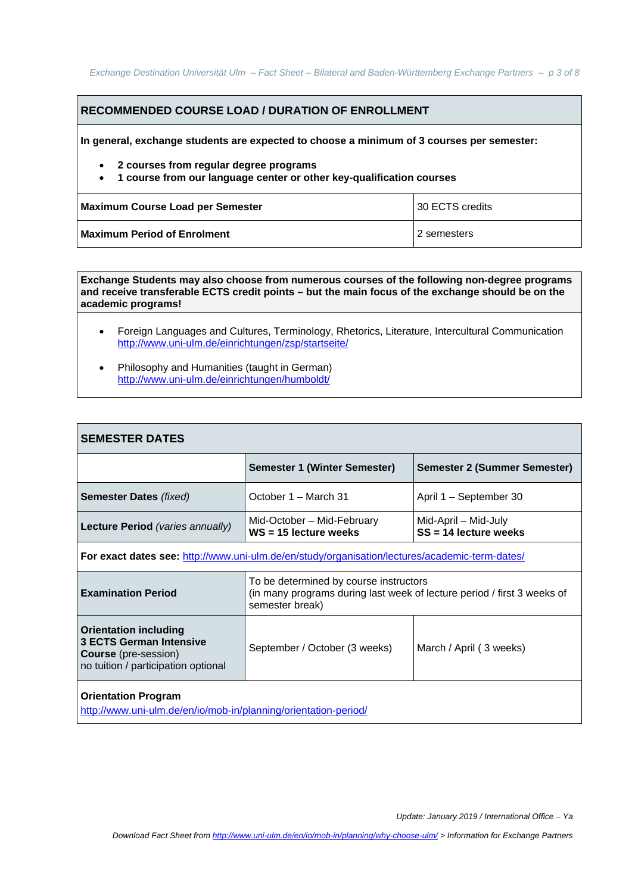# **RECOMMENDED COURSE LOAD / DURATION OF ENROLLMENT**

**In general, exchange students are expected to choose a minimum of 3 courses per semester:** 

- **2 courses from regular degree programs**
- **1 course from our language center or other key-qualification courses**

| Maximum Course Load per Semester | 130 ECTS credits |
|----------------------------------|------------------|
| Maximum Period of Enrolment      | l 2 semesters    |

**Exchange Students may also choose from numerous courses of the following non-degree programs and receive transferable ECTS credit points – but the main focus of the exchange should be on the academic programs!** 

- Foreign Languages and Cultures, Terminology, Rhetorics, Literature, Intercultural Communication http://www.uni-ulm.de/einrichtungen/zsp/startseite/
- Philosophy and Humanities (taught in German) http://www.uni-ulm.de/einrichtungen/humboldt/

| <b>SEMESTER DATES</b>                                                                                                                |                                                                                                                                      |                                                 |
|--------------------------------------------------------------------------------------------------------------------------------------|--------------------------------------------------------------------------------------------------------------------------------------|-------------------------------------------------|
|                                                                                                                                      | Semester 1 (Winter Semester)                                                                                                         | Semester 2 (Summer Semester)                    |
| <b>Semester Dates (fixed)</b>                                                                                                        | October 1 – March 31                                                                                                                 | April 1 – September 30                          |
| Lecture Period (varies annually)                                                                                                     | Mid-October - Mid-February<br>$WS = 15$ lecture weeks                                                                                | Mid-April – Mid-July<br>$SS = 14$ lecture weeks |
| For exact dates see: http://www.uni-ulm.de/en/study/organisation/lectures/academic-term-dates/                                       |                                                                                                                                      |                                                 |
| <b>Examination Period</b>                                                                                                            | To be determined by course instructors<br>(in many programs during last week of lecture period / first 3 weeks of<br>semester break) |                                                 |
| <b>Orientation including</b><br><b>3 ECTS German Intensive</b><br><b>Course</b> (pre-session)<br>no tuition / participation optional | September / October (3 weeks)                                                                                                        | March / April (3 weeks)                         |
| <b>Orientation Program</b>                                                                                                           |                                                                                                                                      |                                                 |

http://www.uni-ulm.de/en/io/mob-in/planning/orientation-period/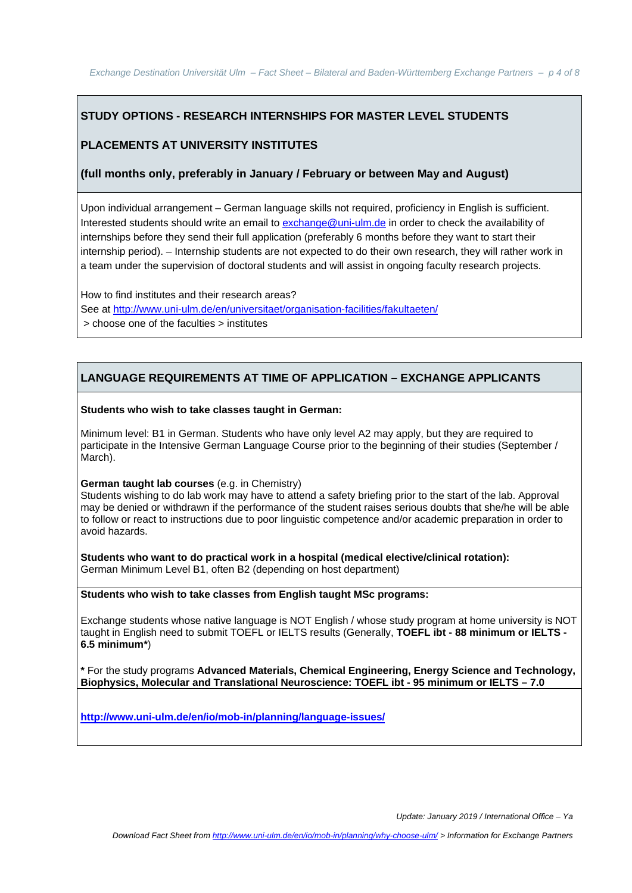# **STUDY OPTIONS - RESEARCH INTERNSHIPS FOR MASTER LEVEL STUDENTS**

# **PLACEMENTS AT UNIVERSITY INSTITUTES**

#### **(full months only, preferably in January / February or between May and August)**

Upon individual arrangement – German language skills not required, proficiency in English is sufficient. Interested students should write an email to exchange@uni-ulm.de in order to check the availability of internships before they send their full application (preferably 6 months before they want to start their internship period). – Internship students are not expected to do their own research, they will rather work in a team under the supervision of doctoral students and will assist in ongoing faculty research projects.

How to find institutes and their research areas? See at http://www.uni-ulm.de/en/universitaet/organisation-facilities/fakultaeten/ > choose one of the faculties > institutes

#### **LANGUAGE REQUIREMENTS AT TIME OF APPLICATION – EXCHANGE APPLICANTS**

#### **Students who wish to take classes taught in German:**

Minimum level: B1 in German. Students who have only level A2 may apply, but they are required to participate in the Intensive German Language Course prior to the beginning of their studies (September / March).

#### **German taught lab courses** (e.g. in Chemistry)

Students wishing to do lab work may have to attend a safety briefing prior to the start of the lab. Approval may be denied or withdrawn if the performance of the student raises serious doubts that she/he will be able to follow or react to instructions due to poor linguistic competence and/or academic preparation in order to avoid hazards.

**Students who want to do practical work in a hospital (medical elective/clinical rotation):**  German Minimum Level B1, often B2 (depending on host department)

#### **Students who wish to take classes from English taught MSc programs:**

Exchange students whose native language is NOT English / whose study program at home university is NOT taught in English need to submit TOEFL or IELTS results (Generally, **TOEFL ibt - 88 minimum or IELTS - 6.5 minimum\***)

**\*** For the study programs **Advanced Materials, Chemical Engineering, Energy Science and Technology, Biophysics, Molecular and Translational Neuroscience: TOEFL ibt - 95 minimum or IELTS – 7.0** 

**http://www.uni-ulm.de/en/io/mob-in/planning/language-issues/**

*Update: January 2019 / International Office – Ya*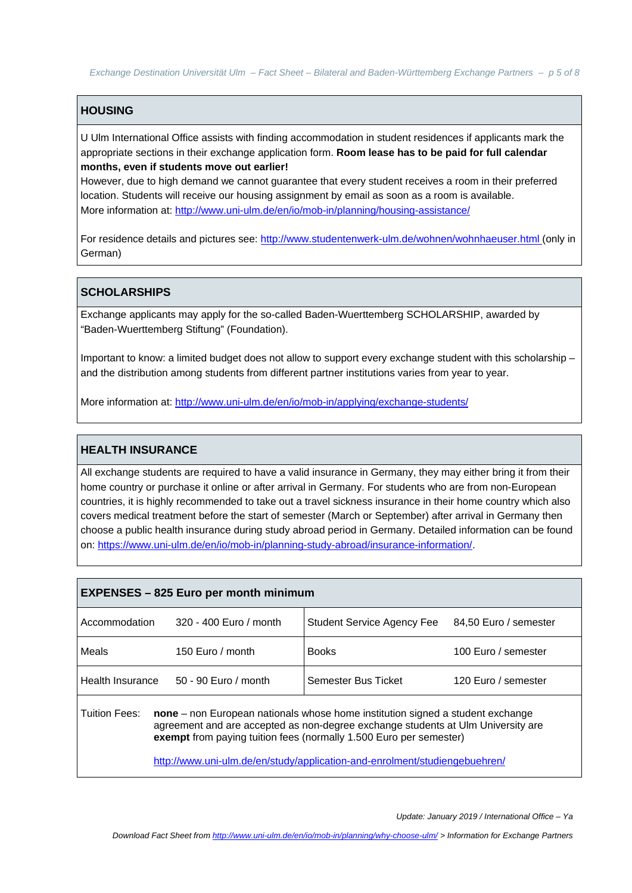*Exchange Destination Universität Ulm – Fact Sheet – Bilateral and Baden-Württemberg Exchange Partners – p 5 of 8* 

# **HOUSING**

U Ulm International Office assists with finding accommodation in student residences if applicants mark the appropriate sections in their exchange application form. **Room lease has to be paid for full calendar months, even if students move out earlier!** 

However, due to high demand we cannot guarantee that every student receives a room in their preferred location. Students will receive our housing assignment by email as soon as a room is available. More information at: http://www.uni-ulm.de/en/io/mob-in/planning/housing-assistance/

For residence details and pictures see: http://www.studentenwerk-ulm.de/wohnen/wohnhaeuser.html (only in German)

# **SCHOLARSHIPS**

Exchange applicants may apply for the so-called Baden-Wuerttemberg SCHOLARSHIP, awarded by "Baden-Wuerttemberg Stiftung" (Foundation).

Important to know: a limited budget does not allow to support every exchange student with this scholarship – and the distribution among students from different partner institutions varies from year to year.

More information at: http://www.uni-ulm.de/en/io/mob-in/applying/exchange-students/

#### **HEALTH INSURANCE**

All exchange students are required to have a valid insurance in Germany, they may either bring it from their home country or purchase it online or after arrival in Germany. For students who are from non-European countries, it is highly recommended to take out a travel sickness insurance in their home country which also covers medical treatment before the start of semester (March or September) after arrival in Germany then choose a public health insurance during study abroad period in Germany. Detailed information can be found on: https://www.uni-ulm.de/en/io/mob-in/planning-study-abroad/insurance-information/.

| <b>EXPENSES - 825 Euro per month minimum</b>                                                                                                                                                                                                                                                                                            |                        |                                   |                       |
|-----------------------------------------------------------------------------------------------------------------------------------------------------------------------------------------------------------------------------------------------------------------------------------------------------------------------------------------|------------------------|-----------------------------------|-----------------------|
| Accommodation                                                                                                                                                                                                                                                                                                                           | 320 - 400 Euro / month | <b>Student Service Agency Fee</b> | 84,50 Euro / semester |
| Meals                                                                                                                                                                                                                                                                                                                                   | 150 Euro / month       | <b>Books</b>                      | 100 Euro / semester   |
| Health Insurance                                                                                                                                                                                                                                                                                                                        | 50 - 90 Euro / month   | Semester Bus Ticket               | 120 Euro / semester   |
| Tuition Fees:<br>none – non European nationals whose home institution signed a student exchange<br>agreement and are accepted as non-degree exchange students at Ulm University are<br>exempt from paying tuition fees (normally 1.500 Euro per semester)<br>http://www.uni-ulm.de/en/study/application-and-enrolment/studiengebuehren/ |                        |                                   |                       |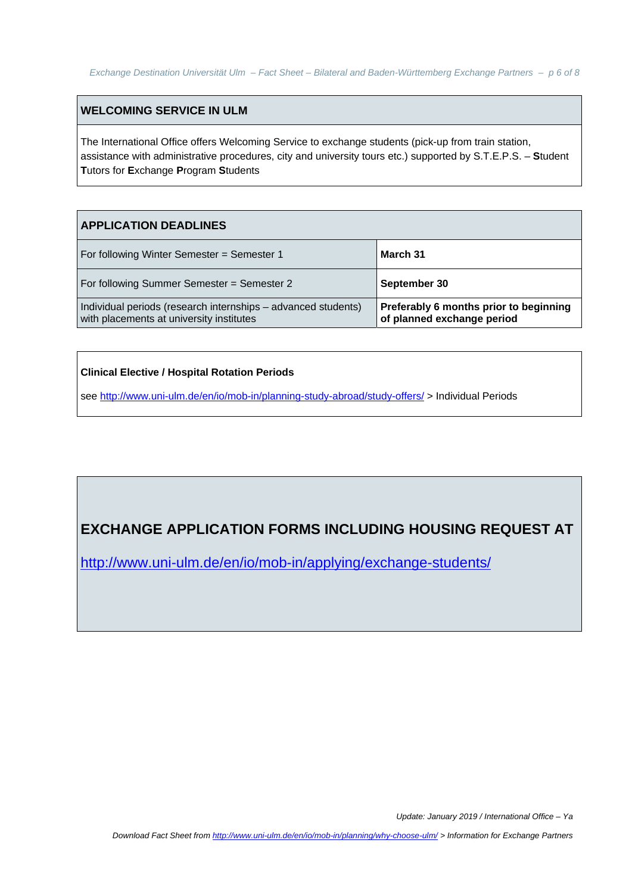## **WELCOMING SERVICE IN ULM**

The International Office offers Welcoming Service to exchange students (pick-up from train station, assistance with administrative procedures, city and university tours etc.) supported by S.T.E.P.S. – **S**tudent **T**utors for **E**xchange **P**rogram **S**tudents

#### **APPLICATION DEADLINES**

| For following Winter Semester = Semester 1                                                                | March 31                                                             |
|-----------------------------------------------------------------------------------------------------------|----------------------------------------------------------------------|
| For following Summer Semester = Semester 2                                                                | September 30                                                         |
| Individual periods (research internships - advanced students)<br>with placements at university institutes | Preferably 6 months prior to beginning<br>of planned exchange period |

#### **Clinical Elective / Hospital Rotation Periods**

see http://www.uni-ulm.de/en/io/mob-in/planning-study-abroad/study-offers/ > Individual Periods

# **EXCHANGE APPLICATION FORMS INCLUDING HOUSING REQUEST AT**

http://www.uni-ulm.de/en/io/mob-in/applying/exchange-students/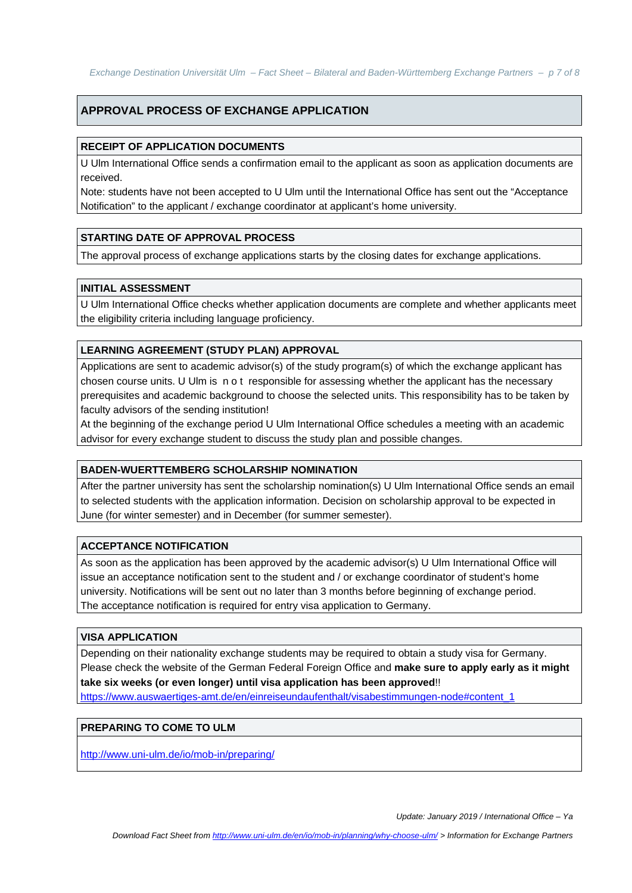## **APPROVAL PROCESS OF EXCHANGE APPLICATION**

#### **RECEIPT OF APPLICATION DOCUMENTS**

U Ulm International Office sends a confirmation email to the applicant as soon as application documents are received.

Note: students have not been accepted to U Ulm until the International Office has sent out the "Acceptance Notification" to the applicant / exchange coordinator at applicant's home university.

#### **STARTING DATE OF APPROVAL PROCESS**

The approval process of exchange applications starts by the closing dates for exchange applications.

#### **INITIAL ASSESSMENT**

U Ulm International Office checks whether application documents are complete and whether applicants meet the eligibility criteria including language proficiency.

#### **LEARNING AGREEMENT (STUDY PLAN) APPROVAL**

Applications are sent to academic advisor(s) of the study program(s) of which the exchange applicant has chosen course units. U Ulm is n o t responsible for assessing whether the applicant has the necessary prerequisites and academic background to choose the selected units. This responsibility has to be taken by faculty advisors of the sending institution!

At the beginning of the exchange period U Ulm International Office schedules a meeting with an academic advisor for every exchange student to discuss the study plan and possible changes.

#### **BADEN-WUERTTEMBERG SCHOLARSHIP NOMINATION**

After the partner university has sent the scholarship nomination(s) U Ulm International Office sends an email to selected students with the application information. Decision on scholarship approval to be expected in June (for winter semester) and in December (for summer semester).

#### **ACCEPTANCE NOTIFICATION**

As soon as the application has been approved by the academic advisor(s) U Ulm International Office will issue an acceptance notification sent to the student and / or exchange coordinator of student's home university. Notifications will be sent out no later than 3 months before beginning of exchange period. The acceptance notification is required for entry visa application to Germany.

#### **VISA APPLICATION**

Depending on their nationality exchange students may be required to obtain a study visa for Germany. Please check the website of the German Federal Foreign Office and **make sure to apply early as it might take six weeks (or even longer) until visa application has been approved**!!

https://www.auswaertiges-amt.de/en/einreiseundaufenthalt/visabestimmungen-node#content\_1

#### **PREPARING TO COME TO ULM**

http://www.uni-ulm.de/io/mob-in/preparing/